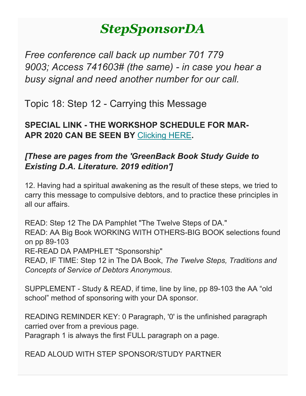# *StepSponsorDA*

*Free conference call back up number 701 779 9003; Access 741603# (the same) - in case you hear a busy signal and need another number for our call.*

Topic 18: Step 12 - Carrying this Message

**SPECIAL LINK - THE WORKSHOP SCHEDULE FOR MAR-APR 2020 CAN BE SEEN BY** [Clicking HERE](https://gmail.us20.list-manage.com/track/click?u=1408c21f70032c33cd3b1c626&id=1352381731&e=8297f155a1)**.**

# *[These are pages from the 'GreenBack Book Study Guide to Existing D.A. Literature. 2019 edition']*

12. Having had a spiritual awakening as the result of these steps, we tried to carry this message to compulsive debtors, and to practice these principles in all our affairs.

READ: Step 12 The DA Pamphlet "The Twelve Steps of DA." READ: AA Big Book WORKING WITH OTHERS-BIG BOOK selections found on pp 89-103 RE-READ DA PAMPHLET "Sponsorship" READ, IF TIME: Step 12 in The DA Book, *The Twelve Steps, Traditions and Concepts of Service of Debtors Anonymous*.

SUPPLEMENT - Study & READ, if time, line by line, pp 89-103 the AA "old school" method of sponsoring with your DA sponsor.

READING REMINDER KEY: 0 Paragraph, '0' is the unfinished paragraph carried over from a previous page.

Paragraph 1 is always the first FULL paragraph on a page.

READ ALOUD WITH STEP SPONSOR/STUDY PARTNER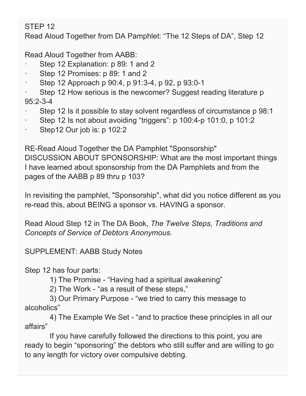STEP 12

Read Aloud Together from DA Pamphlet: "The 12 Steps of DA", Step 12

Read Aloud Together from AABB:

- Step 12 Explanation: p 89: 1 and 2
- Step 12 Promises: p 89: 1 and 2
- Step 12 Approach p 90:4, p 91:3-4, p 92, p 93:0-1

Step 12 How serious is the newcomer? Suggest reading literature p 95:2-3-4

- Step 12 Is it possible to stay solvent regardless of circumstance p 98:1
- Step 12 Is not about avoiding "triggers": p 100:4-p 101:0, p 101:2
- Step12 Our job is: p 102:2

RE-Read Aloud Together the DA Pamphlet "Sponsorship"

DISCUSSION ABOUT SPONSORSHIP: What are the most important things I have learned about sponsorship from the DA Pamphlets and from the pages of the AABB p 89 thru p 103?

In revisiting the pamphlet, "Sponsorship", what did you notice different as you re-read this, about BEING a sponsor vs. HAVING a sponsor.

Read Aloud Step 12 in The DA Book, *The Twelve Steps, Traditions and Concepts of Service of Debtors Anonymous*.

SUPPLEMENT: AABB Study Notes

Step 12 has four parts:

1) The Promise - "Having had a spiritual awakening"

2) The Work - "as a result of these steps,"

 3) Our Primary Purpose - "we tried to carry this message to alcoholics"

 4) The Example We Set - "and to practice these principles in all our affairs"

 If you have carefully followed the directions to this point, you are ready to begin "sponsoring" the debtors who still suffer and are willing to go to any length for victory over compulsive debting.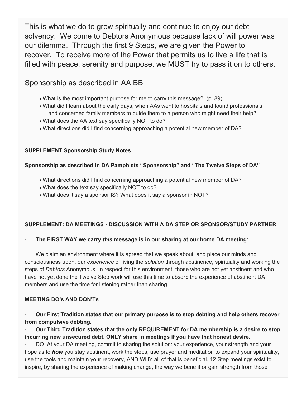This is what we do to grow spiritually and continue to enjoy our debt solvency. We come to Debtors Anonymous because lack of will power was our dilemma. Through the first 9 Steps, we are given the Power to recover. To receive more of the Power that permits us to live a life that is filled with peace, serenity and purpose, we MUST try to pass it on to others.

# Sponsorship as described in AA BB

- What is the most important purpose for me to carry this message? (p. 89)
- What did I learn about the early days, when AAs went to hospitals and found professionals and concerned family members to guide them to a person who might need their help?
- What does the AA text say specifically NOT to do?
- What directions did I find concerning approaching a potential new member of DA?

# **SUPPLEMENT Sponsorship Study Notes**

# **Sponsorship as described in DA Pamphlets "Sponsorship" and "The Twelve Steps of DA"**

- What directions did I find concerning approaching a potential new member of DA?
- What does the text say specifically NOT to do?
- What does it say a sponsor IS? What does it say a sponsor in NOT?

# **SUPPLEMENT: DA MEETINGS - DISCUSSION WITH A DA STEP OR SPONSOR/STUDY PARTNER**

#### · **The FIRST WAY we carry** *this* **message is in our sharing at our home DA meeting:**

We claim an environment where it is agreed that we speak about, and place our minds and consciousness upon, our *experience* of living the *solution* through abstinence, spirituality and working the steps of *Debtors* Anonymous. In respect for this environment, those who are not yet abstinent and who have not yet done the Twelve Step work will use this time to absorb the experience of abstinent DA members and use the time for listening rather than sharing.

#### **MEETING DO's AND DON'Ts**

· **Our First Tradition states that our primary purpose is to stop debting and help others recover from compulsive debting.**

· **Our Third Tradition states that the only REQUIREMENT for DA membership is a desire to stop incurring new unsecured debt. ONLY share in meetings if you have that honest desire.**

DO At your DA meeting, commit to sharing the solution: your experience, your strength and your hope as to *how* you stay abstinent, work the steps, use prayer and meditation to expand your spirituality, use the tools and maintain your recovery, AND WHY all of that is beneficial. 12 Step meetings exist to inspire, by sharing the experience of making change, the way we benefit or gain strength from those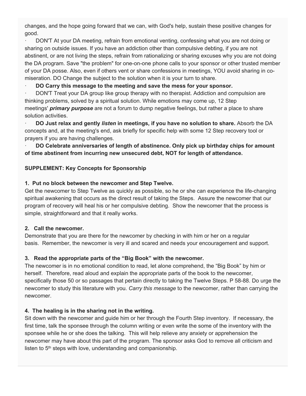changes, and the hope going forward that we can, with God's help, sustain these positive changes for good.

· DON'T At your DA meeting, refrain from emotional venting, confessing what you are not doing or sharing on outside issues. If you have an addiction other than compulsive debting, if you are not abstinent, or are not living the steps, refrain from rationalizing or sharing excuses why you are not doing the DA program. Save "the problem" for one-on-one phone calls to your sponsor or other trusted member of your DA posse. Also, even if others vent or share confessions in meetings, YOU avoid sharing in comiseration. DO Change the subject to the solution when it is your turn to share.

#### · **DO Carry this message to the meeting and save the mess for your sponsor.**

DON'T Treat your DA group like group therapy with no therapist. Addiction and compulsion are thinking problems, solved by a spiritual solution. While emotions may come up, 12 Step meetings' *primary purpose* are not a forum to dump negative feelings, but rather a place to share solution activities.

· **DO Just relax and gently** *listen* **in meetings, if you have no solution to share.** Absorb the DA concepts and, at the meeting's end, ask briefly for specific help with some 12 Step recovery tool or prayers if you are having challenges.

· **DO Celebrate anniversaries of length of abstinence. Only pick up birthday chips for amount of time abstinent from incurring new unsecured debt, NOT for length of attendance.**

# **SUPPLEMENT: Key Concepts for Sponsorship**

# **1. Put no block between the newcomer and Step Twelve.**

Get the newcomer to Step Twelve as quickly as possible, so he or she can experience the life-changing spiritual awakening that occurs as the direct result of taking the Steps. Assure the newcomer that our program of recovery will heal his or her compulsive debting. Show the newcomer that the process is simple, straightforward and that it really works.

#### **2. Call the newcomer.**

Demonstrate that you are there for the newcomer by checking in with him or her on a regular basis. Remember, the newcomer is very ill and scared and needs your encouragement and support.

# **3. Read the appropriate parts of the "Big Book" with the newcomer.**

The newcomer is in no emotional condition to read, let alone comprehend, the "Big Book" by him or herself. Therefore, read aloud and explain the appropriate parts of the book to the newcomer, specifically those 50 or so passages that pertain directly to taking the Twelve Steps. P 58-88. Do urge the newcomer to study this literature with you. *Carry this message* to the newcomer, rather than carrying the newcomer.

# **4. The healing is in the sharing not in the writing.**

Sit down with the newcomer and guide him or her through the Fourth Step inventory. If necessary, the first time, talk the sponsee through the column writing or even write the some of the inventory with the sponsee while he or she does the talking. This will help relieve any anxiety or apprehension the newcomer may have about this part of the program. The sponsor asks God to remove all criticism and listen to 5<sup>th</sup> steps with love, understanding and companionship.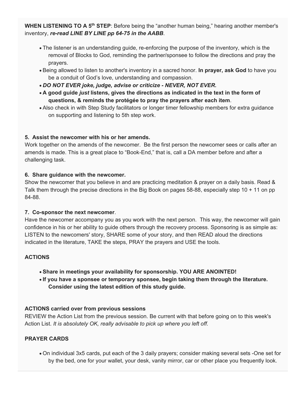**WHEN LISTENING TO A 5th STEP**: Before being the "another human being," hearing another member's inventory, *re-read LINE BY LINE pp 64-75 in the AABB*.

- The listener is an understanding guide, re-enforcing the purpose of the inventory, which is the removal of Blocks to God, reminding the partner/sponsee to follow the directions and pray the prayers.
- Being allowed to listen to another's inventory in a sacred honor. **In prayer, ask God** to have you be a conduit of God's love, understanding and compassion.
- *DO NOT EVER joke, judge, advise or criticize - NEVER, NOT EVER.*
- **A good guide** *just* **listens, gives the directions as indicated in the text in the form of questions, & reminds the protégée to pray the prayers after each item**.
- Also check in with Step Study facilitators or longer timer fellowship members for extra guidance on supporting and listening to 5th step work.

#### **5. Assist the newcomer with his or her amends.**

Work together on the amends of the newcomer. Be the first person the newcomer sees or calls after an amends is made. This is a great place to "Book-End," that is, call a DA member before and after a challenging task.

#### **6. Share guidance with the newcomer.**

Show the newcomer that you believe in and are practicing meditation & prayer on a daily basis. Read & Talk them through the precise directions in the Big Book on pages 58-88, especially step 10 + 11 on pp 84-88.

#### **7. Co-sponsor the next newcomer**.

Have the newcomer accompany you as you work with the next person. This way, the newcomer will gain confidence in his or her ability to guide others through the recovery process. Sponsoring is as simple as: LISTEN to the newcomers' story, SHARE some of your story, and then READ aloud the directions indicated in the literature, TAKE the steps, PRAY the prayers and USE the tools.

# **ACTIONS**

- **Share in meetings your availability for sponsorship. YOU ARE ANOINTED!**
- **If you have a sponsee or temporary sponsee, begin taking them through the literature. Consider using the latest edition of this study guide.**

# **ACTIONS carried over from previous sessions**

REVIEW the Action List from the previous session. Be current with that before going on to this week's Action List. *It is absolutely OK, really advisable to pick up where you left off.*

#### **PRAYER CARDS**

• On individual 3x5 cards, put each of the 3 daily prayers; consider making several sets -One set for by the bed, one for your wallet, your desk, vanity mirror, car or other place you frequently look.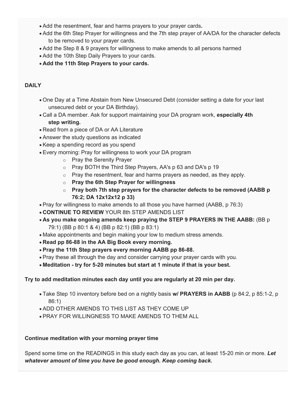- Add the resentment, fear and harms prayers to your prayer cards**.**
- Add the 6th Step Prayer for willingness and the 7th step prayer of AA/DA for the character defects to be removed to your prayer cards.
- Add the Step 8 & 9 prayers for willingness to make amends to all persons harmed
- Add the 10th Step Daily Prayers to your cards.
- **Add the 11th Step Prayers to your cards.**

# **DAILY**

- One Day at a Time Abstain from New Unsecured Debt (consider setting a date for your last unsecured debt or your DA Birthday).
- Call a DA member. Ask for support maintaining your DA program work, **especially 4th step writing.**
- Read from a piece of DA or AA Literature
- Answer the study questions as indicated
- Keep a spending record as you spend
- Every morning: Pray for willingness to work your DA program
	- o Pray the Serenity Prayer
	- o Pray BOTH the Third Step Prayers, AA's p 63 and DA's p 19
	- o Pray the resentment, fear and harms prayers as needed, as they apply.
	- o **Pray the 6th Step Prayer for willingness**
	- o **Pray both 7th step prayers for the character defects to be removed (AABB p 76:2; DA 12x12x12 p 33)**
- Pray for willingness to make amends to all those you have harmed (AABB, p 76:3)
- **CONTINUE TO REVIEW** YOUR 8th STEP AMENDS LIST
- **As you make ongoing amends keep praying the STEP 9 PRAYERS IN THE AABB:** (BB p 79:1) (BB p 80:1 & 4) (BB p 82:1) (BB p 83:1)
- Make appointments and begin making your low to medium stress amends.
- **Read pp 86-88 in the AA Big Book every morning.**
- **Pray the 11th Step prayers every morning AABB pp 86-88.**
- Pray these all through the day and consider carrying your prayer cards with you.
- **Meditation - try for 5-20 minutes but start at 1 minute if that is your best.**

#### **Try to add meditation minutes each day until you are regularly at 20 min per day.**

- Take Step 10 inventory before bed on a nightly basis **w/ PRAYERS in AABB** (p 84:2, p 85:1-2, p 86:1)
- ADD OTHER AMENDS TO THIS LIST AS THEY COME UP
- PRAY FOR WILLINGNESS TO MAKE AMENDS TO THEM ALL

#### **Continue meditation with your morning prayer time**

Spend some time on the READINGS in this study each day as you can, at least 15-20 min or more. *Let whatever amount of time you have be good enough. Keep coming back.*